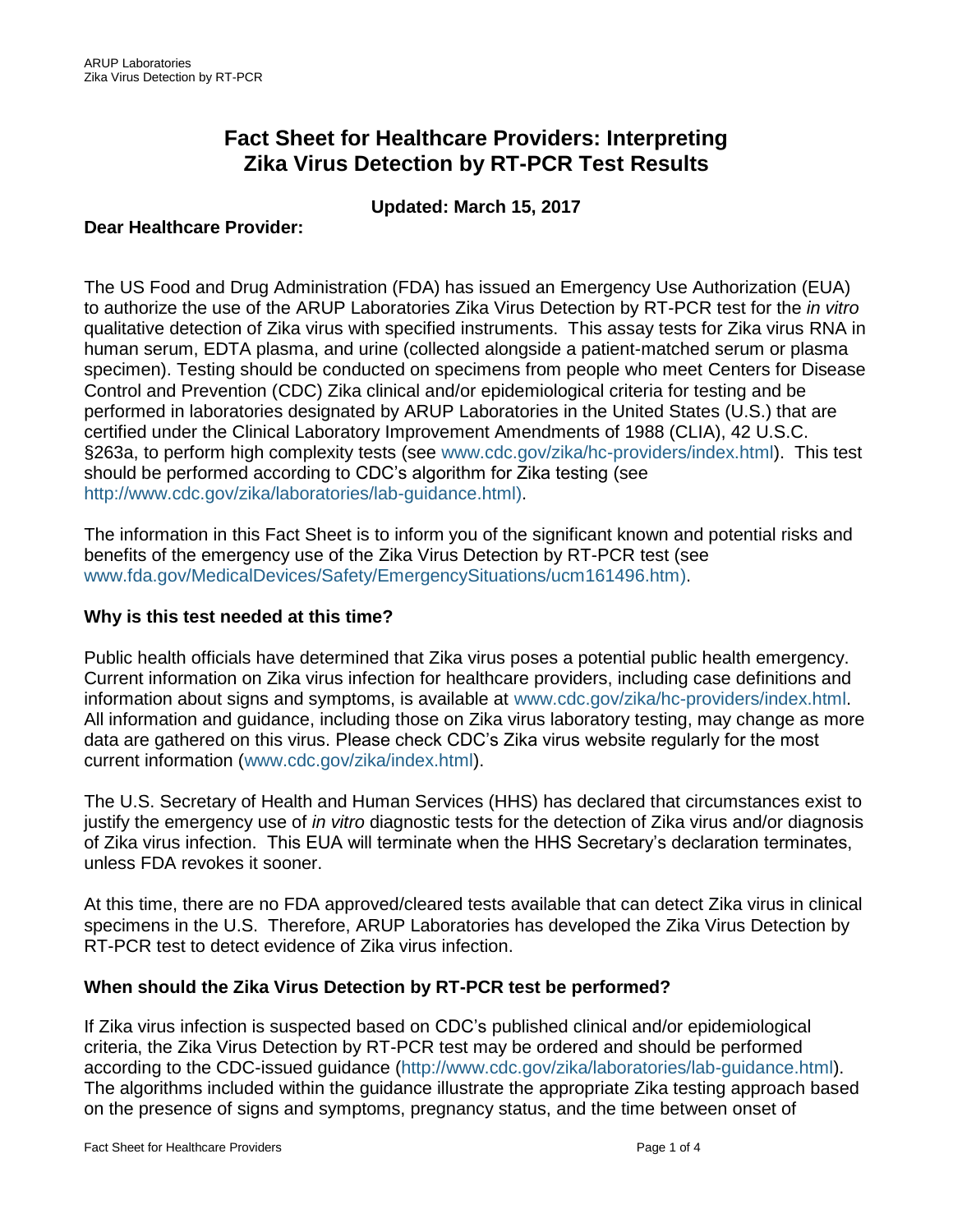# **Fact Sheet for Healthcare Providers: Interpreting Zika Virus Detection by RT-PCR Test Results**

# **Updated: March 15, 2017**

## **Dear Healthcare Provider:**

The US Food and Drug Administration (FDA) has issued an Emergency Use Authorization (EUA) to authorize the use of the ARUP Laboratories Zika Virus Detection by RT-PCR test for the *in vitro* qualitative detection of Zika virus with specified instruments. This assay tests for Zika virus RNA in human serum, EDTA plasma, and urine (collected alongside a patient-matched serum or plasma specimen). Testing should be conducted on specimens from people who meet Centers for Disease Control and Prevention (CDC) Zika clinical and/or epidemiological criteria for testing and be performed in laboratories designated by ARUP Laboratories in the United States (U.S.) that are certified under the Clinical Laboratory Improvement Amendments of 1988 (CLIA), 42 U.S.C. §263a, to perform high complexity tests (see [www.cdc.gov/zika/hc-providers/index.html\)](http://www.cdc.gov/zika/hc-providers/index.html). This test should be performed according to CDC's algorithm for Zika testing (see [http://www.cdc.gov/zika/laboratories/lab-guidance.html\)](http://www.cdc.gov/zika/laboratories/lab-guidance.html).

The information in this Fact Sheet is to inform you of the significant known and potential risks and benefits of the emergency use of the Zika Virus Detection by RT-PCR test (see [www.fda.gov/MedicalDevices/Safety/EmergencySituations/ucm161496.htm\)](http://www.fda.gov/MedicalDevices/Safety/EmergencySituations/ucm161496.htm).

#### **Why is this test needed at this time?**

Public health officials have determined that Zika virus poses a potential public health emergency. Current information on Zika virus infection for healthcare providers, including case definitions and information about signs and symptoms, is available at [www.cdc.gov/zika/hc-providers/index.html.](http://www.cdc.gov/zika/hc-providers/index.html) All information and guidance, including those on Zika virus laboratory testing, may change as more data are gathered on this virus. Please check CDC's Zika virus website regularly for the most current information [\(www.cdc.gov/zika/index.html\)](http://www.cdc.gov/zika/index.html).

The U.S. Secretary of Health and Human Services (HHS) has declared that circumstances exist to justify the emergency use of *in vitro* diagnostic tests for the detection of Zika virus and/or diagnosis of Zika virus infection. This EUA will terminate when the HHS Secretary's declaration terminates, unless FDA revokes it sooner.

At this time, there are no FDA approved/cleared tests available that can detect Zika virus in clinical specimens in the U.S. Therefore, ARUP Laboratories has developed the Zika Virus Detection by RT-PCR test to detect evidence of Zika virus infection.

#### **When should the Zika Virus Detection by RT-PCR test be performed?**

If Zika virus infection is suspected based on CDC's published clinical and/or epidemiological criteria, the Zika Virus Detection by RT-PCR test may be ordered and should be performed according to the CDC-issued guidance [\(http://www.cdc.gov/zika/laboratories/lab-guidance.html\)](http://www.cdc.gov/zika/laboratories/lab-guidance.html). The algorithms included within the guidance illustrate the appropriate Zika testing approach based on the presence of signs and symptoms, pregnancy status, and the time between onset of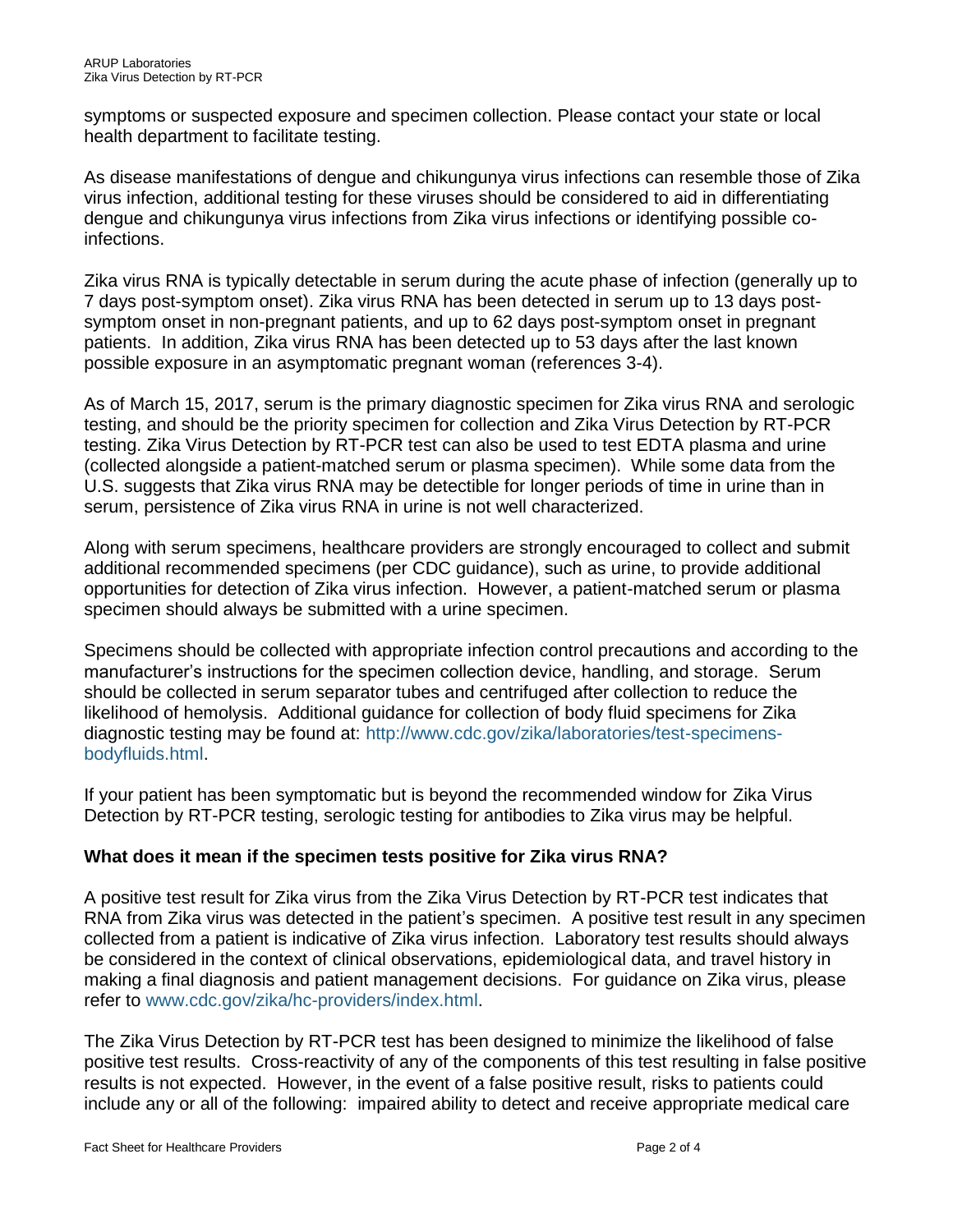symptoms or suspected exposure and specimen collection. Please contact your state or local health department to facilitate testing.

As disease manifestations of dengue and chikungunya virus infections can resemble those of Zika virus infection, additional testing for these viruses should be considered to aid in differentiating dengue and chikungunya virus infections from Zika virus infections or identifying possible coinfections.

Zika virus RNA is typically detectable in serum during the acute phase of infection (generally up to 7 days post-symptom onset). Zika virus RNA has been detected in serum up to 13 days postsymptom onset in non-pregnant patients, and up to 62 days post-symptom onset in pregnant patients. In addition, Zika virus RNA has been detected up to 53 days after the last known possible exposure in an asymptomatic pregnant woman (references 3-4).

As of March 15, 2017, serum is the primary diagnostic specimen for Zika virus RNA and serologic testing, and should be the priority specimen for collection and Zika Virus Detection by RT-PCR testing. Zika Virus Detection by RT-PCR test can also be used to test EDTA plasma and urine (collected alongside a patient-matched serum or plasma specimen). While some data from the U.S. suggests that Zika virus RNA may be detectible for longer periods of time in urine than in serum, persistence of Zika virus RNA in urine is not well characterized.

Along with serum specimens, healthcare providers are strongly encouraged to collect and submit additional recommended specimens (per CDC guidance), such as urine, to provide additional opportunities for detection of Zika virus infection. However, a patient-matched serum or plasma specimen should always be submitted with a urine specimen.

Specimens should be collected with appropriate infection control precautions and according to the manufacturer's instructions for the specimen collection device, handling, and storage. Serum should be collected in serum separator tubes and centrifuged after collection to reduce the likelihood of hemolysis. Additional guidance for collection of body fluid specimens for Zika diagnostic testing may be found at: [http://www.cdc.gov/zika/laboratories/test-specimens](http://www.cdc.gov/zika/laboratories/test-specimens-bodyfluids.html)[bodyfluids.html.](http://www.cdc.gov/zika/laboratories/test-specimens-bodyfluids.html)

If your patient has been symptomatic but is beyond the recommended window for Zika Virus Detection by RT-PCR testing, serologic testing for antibodies to Zika virus may be helpful.

# **What does it mean if the specimen tests positive for Zika virus RNA?**

A positive test result for Zika virus from the Zika Virus Detection by RT-PCR test indicates that RNA from Zika virus was detected in the patient's specimen. A positive test result in any specimen collected from a patient is indicative of Zika virus infection. Laboratory test results should always be considered in the context of clinical observations, epidemiological data, and travel history in making a final diagnosis and patient management decisions. For guidance on Zika virus, please refer to [www.cdc.gov/zika/hc-providers/index.html.](http://www.cdc.gov/zika/hc-providers/index.html)

The Zika Virus Detection by RT-PCR test has been designed to minimize the likelihood of false positive test results. Cross-reactivity of any of the components of this test resulting in false positive results is not expected. However, in the event of a false positive result, risks to patients could include any or all of the following: impaired ability to detect and receive appropriate medical care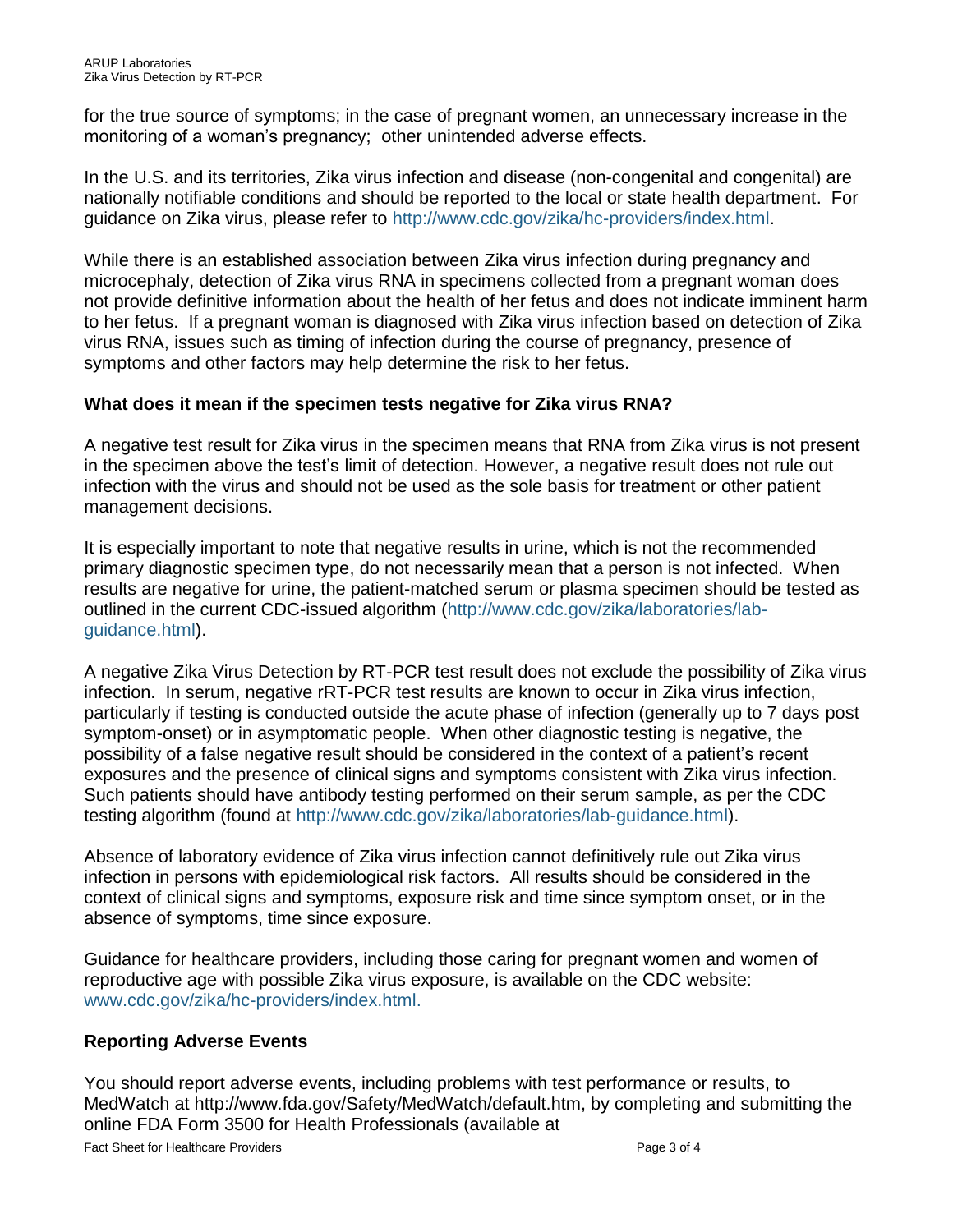for the true source of symptoms; in the case of pregnant women, an unnecessary increase in the monitoring of a woman's pregnancy; other unintended adverse effects.

In the U.S. and its territories, Zika virus infection and disease (non-congenital and congenital) are nationally notifiable conditions and should be reported to the local or state health department. For guidance on Zika virus, please refer to [http://www.cdc.gov/zika/hc-providers/index.html.](http://www.cdc.gov/zika/hc-providers/index.html)

While there is an established association between Zika virus infection during pregnancy and microcephaly, detection of Zika virus RNA in specimens collected from a pregnant woman does not provide definitive information about the health of her fetus and does not indicate imminent harm to her fetus. If a pregnant woman is diagnosed with Zika virus infection based on detection of Zika virus RNA, issues such as timing of infection during the course of pregnancy, presence of symptoms and other factors may help determine the risk to her fetus.

# **What does it mean if the specimen tests negative for Zika virus RNA?**

A negative test result for Zika virus in the specimen means that RNA from Zika virus is not present in the specimen above the test's limit of detection. However, a negative result does not rule out infection with the virus and should not be used as the sole basis for treatment or other patient management decisions.

It is especially important to note that negative results in urine, which is not the recommended primary diagnostic specimen type, do not necessarily mean that a person is not infected. When results are negative for urine, the patient-matched serum or plasma specimen should be tested as outlined in the current CDC-issued algorithm [\(http://www.cdc.gov/zika/laboratories/lab](http://www.cdc.gov/zika/laboratories/lab-guidance.html)[guidance.html\)](http://www.cdc.gov/zika/laboratories/lab-guidance.html).

A negative Zika Virus Detection by RT-PCR test result does not exclude the possibility of Zika virus infection. In serum, negative rRT-PCR test results are known to occur in Zika virus infection, particularly if testing is conducted outside the acute phase of infection (generally up to 7 days post symptom-onset) or in asymptomatic people. When other diagnostic testing is negative, the possibility of a false negative result should be considered in the context of a patient's recent exposures and the presence of clinical signs and symptoms consistent with Zika virus infection. Such patients should have antibody testing performed on their serum sample, as per the CDC testing algorithm (found at [http://www.cdc.gov/zika/laboratories/lab-guidance.html\)](http://www.cdc.gov/zika/laboratories/lab-guidance.html).

Absence of laboratory evidence of Zika virus infection cannot definitively rule out Zika virus infection in persons with epidemiological risk factors. All results should be considered in the context of clinical signs and symptoms, exposure risk and time since symptom onset, or in the absence of symptoms, time since exposure.

Guidance for healthcare providers, including those caring for pregnant women and women of reproductive age with possible Zika virus exposure, is available on the CDC website: [www.cdc.gov/zika/hc-providers/index.html.](http://www.cdc.gov/zika/hc-providers/index.html)

# **Reporting Adverse Events**

You should report adverse events, including problems with test performance or results, to MedWatch at http://www.fda.gov/Safety/MedWatch/default.htm, by completing and submitting the online FDA Form 3500 for Health Professionals (available at

Fact Sheet for Healthcare Providers **Page 3 of 4** Page 3 of 4